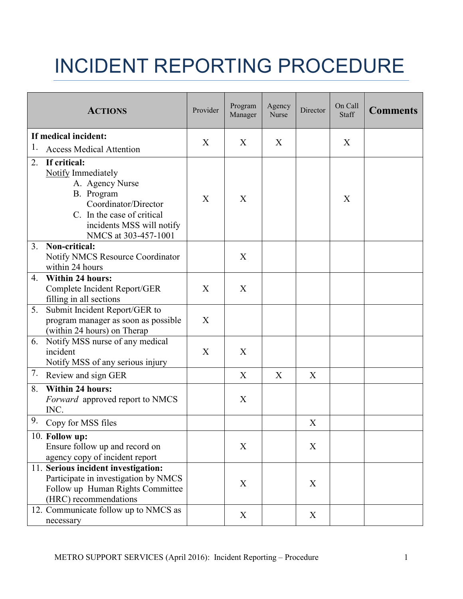## INCIDENT REPORTING PROCEDURE

|                      | <b>ACTIONS</b>                                                                                                                                                                 | Provider | Program<br>Manager | Agency<br>Nurse | Director | On Call<br>Staff | <b>Comments</b> |
|----------------------|--------------------------------------------------------------------------------------------------------------------------------------------------------------------------------|----------|--------------------|-----------------|----------|------------------|-----------------|
| If medical incident: |                                                                                                                                                                                |          |                    |                 |          |                  |                 |
| 1.                   | <b>Access Medical Attention</b>                                                                                                                                                | X        | X                  | X               |          | X                |                 |
| 2.                   | If critical:<br>Notify Immediately<br>A. Agency Nurse<br>B. Program<br>Coordinator/Director<br>C. In the case of critical<br>incidents MSS will notify<br>NMCS at 303-457-1001 | X        | X                  |                 |          | X                |                 |
| 3.                   | Non-critical:<br><b>Notify NMCS Resource Coordinator</b><br>within 24 hours                                                                                                    |          | X                  |                 |          |                  |                 |
| 4.                   | <b>Within 24 hours:</b><br>Complete Incident Report/GER<br>filling in all sections                                                                                             | X        | X                  |                 |          |                  |                 |
| 5.                   | Submit Incident Report/GER to<br>program manager as soon as possible<br>(within 24 hours) on Therap                                                                            | X        |                    |                 |          |                  |                 |
| 6.                   | Notify MSS nurse of any medical<br>incident<br>Notify MSS of any serious injury                                                                                                | X        | X                  |                 |          |                  |                 |
| 7.                   | Review and sign GER                                                                                                                                                            |          | X                  | X               | X        |                  |                 |
| 8.                   | <b>Within 24 hours:</b><br><i>Forward</i> approved report to NMCS<br>INC.                                                                                                      |          | X                  |                 |          |                  |                 |
| 9.                   | Copy for MSS files                                                                                                                                                             |          |                    |                 | X        |                  |                 |
|                      | 10. Follow up:<br>Ensure follow up and record on<br>agency copy of incident report                                                                                             |          | X                  |                 | X        |                  |                 |
|                      | 11. Serious incident investigation:<br>Participate in investigation by NMCS<br>Follow up Human Rights Committee<br>(HRC) recommendations                                       |          | X                  |                 | X        |                  |                 |
|                      | 12. Communicate follow up to NMCS as<br>necessary                                                                                                                              |          | X                  |                 | X        |                  |                 |